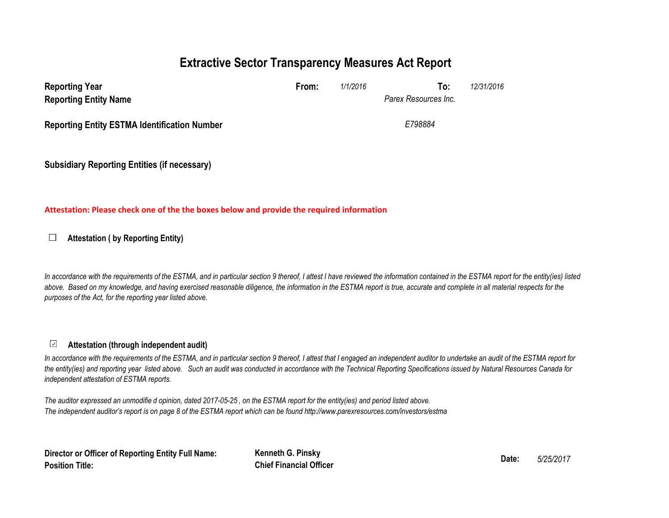# **Extractive Sector Transparency Measures Act Report**

| <b>Reporting Year</b><br><b>Reporting Entity Name</b> | From:   | 1/1/2016 | To:<br>Parex Resources Inc. | 12/31/2016 |  |  |
|-------------------------------------------------------|---------|----------|-----------------------------|------------|--|--|
| <b>Reporting Entity ESTMA Identification Number</b>   | E798884 |          |                             |            |  |  |
| <b>Subsidiary Reporting Entities (if necessary)</b>   |         |          |                             |            |  |  |

#### **Attestation: Please check one of the the boxes below and provide the required information**

#### $\Box$ **Attestation ( by Reporting Entity)**

*In accordance with the requirements of the ESTMA, and in particular section 9 thereof, I attest I have reviewed the information contained in the ESTMA report for the entity(ies) listed*  above. Based on my knowledge, and having exercised reasonable diligence, the information in the ESTMA report is true, accurate and complete in all material respects for the *purposes of the Act, for the reporting year listed above.* 

#### **Attestation (through independent audit)** $\checkmark$

In accordance with the requirements of the ESTMA, and in particular section 9 thereof, I attest that I engaged an independent auditor to undertake an audit of the ESTMA report for *the entity(ies) and reporting year listed above. Such an audit was conducted in accordance with the Technical Reporting Specifications issued by Natural Resources Canada for independent attestation of ESTMA reports.* 

*The auditor expressed an unmodifie d opinion, dated 2017-05-25 , on the ESTMA report for the entity(ies) and period listed above. The independent auditor's report is on page 8 of the ESTMA report which can be found http://www.parexresources.com/investors/estma*

**Director or Officer of Reporting Entity Full Name: Position Title:**

**Kenneth G. Pinsky Date:** *5/25/2017* **Chief Financial Officer**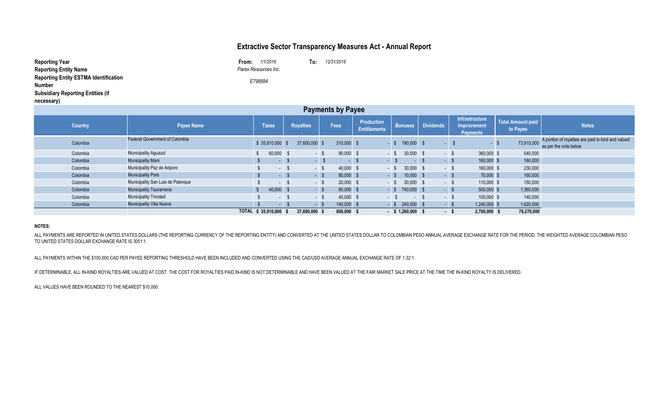## **Extractive Sector Transparency Measures Act - Annual Report**

| <b>Reporting Year</b>                        | 1/1/2016<br>From:    | To: | 12/31/2016 |
|----------------------------------------------|----------------------|-----|------------|
| <b>Reporting Entity Name</b>                 | Parex Resources Inc. |     |            |
| <b>Reporting Entity ESTMA Identification</b> | E798884              |     |            |
| <b>Number</b>                                |                      |     |            |
| <b>Subsidiary Reporting Entities (if</b>     |                      |     |            |
| necessary)                                   |                      |     |            |

| . .<br><b>Payments by Payee</b> |                                   |                        |           |                  |        |             |                                          |        |                     |                  |        |                                                         |                                      |                                                                             |
|---------------------------------|-----------------------------------|------------------------|-----------|------------------|--------|-------------|------------------------------------------|--------|---------------------|------------------|--------|---------------------------------------------------------|--------------------------------------|-----------------------------------------------------------------------------|
| <b>Country</b>                  | <b>Payee Name</b>                 | <b>Taxes</b>           |           | <b>Royalties</b> |        | Fees        | <b>Production</b><br><b>Entitlements</b> |        | <b>Bonuses</b>      | <b>Dividends</b> |        | Infrastructure<br><b>Improvement</b><br><b>Payments</b> | <b>Total Amount paid</b><br>to Payee | <b>Notes</b>                                                                |
| Colombia                        | Federal Government of Colombia    | \$35,810,000           |           | 37,600,000 \$    |        | 310,000 \$  |                                          | - S    | 190,000             | - \$             |        | - \$                                                    | 73,910,000                           | A portion of royalties are paid in kind and valued<br>as per the note below |
| Colombia                        | <b>Municipality Aguazul</b>       |                        | 60,000 \$ |                  | $-$ \$ | 90,000 \$   |                                          | $-$ \$ | $30,000$ \$         |                  | $-5$   | 360,000 \$                                              | 540,000                              |                                                                             |
| Colombia                        | <b>Municipality Mani</b>          |                        |           |                  | $-$ \$ | $-$ \$      |                                          | $-$ \$ | $-$ \$              |                  | $-$ \$ | 160,000 \$                                              | 160,000                              |                                                                             |
| Colombia                        | Municipality Paz de Ariporo       |                        | $-$ \$    |                  | $-$ \$ | 40,000 \$   |                                          | - \$   | $30,000$ \$         |                  | $-$ \$ | 160,000 \$                                              | 230,000                              |                                                                             |
| Colombia                        | <b>Municipality Pore</b>          |                        | $-$ \$    |                  | $-$ \$ | 80,000 \$   |                                          | $-$ \$ | $10,000$ \$         |                  | $-5$   | 70,000 \$                                               | 160,000                              |                                                                             |
| Colombia                        | Municipality San Luis de Palenque |                        | $-$ \$    |                  | $-$ \$ | $20,000$ \$ |                                          |        | $-$ \$ 20,000 \$    |                  | $-5$   | 110,000 \$                                              | 150,000                              |                                                                             |
| Colombia                        | <b>Municipality Tauramena</b>     |                        | 40,000 \$ |                  | $-5$   | 80,000 \$   |                                          |        | $-$ \$ 740,000 \$   |                  | $-5$   | 500,000 \$                                              | 1,360,000                            |                                                                             |
| Colombia                        | <b>Municipality Trinidad</b>      |                        | $  -$     |                  | $-$ \$ | 40,000 \$   |                                          | $-5$   | $\sim$              |                  | $-$ \$ | 100,000 \$                                              | 140,000                              |                                                                             |
| Colombia                        | <b>Municipality Villa Nueva</b>   |                        |           |                  | $-$ \$ | 140,000 \$  |                                          |        | $-$ \$ 240,000 \$   |                  | $-$ \$ | 1,240,000 \$                                            | 1,620,000                            |                                                                             |
|                                 |                                   | TOTAL \$ 35,910,000 \$ |           | 37,600,000 \$    |        | 800,000 \$  |                                          |        | $-$ \$ 1,260,000 \$ |                  | $-5$   | 2,700,000 \$                                            | 78,270,000                           |                                                                             |

#### **NOTES:**

ALL PAYMENTS ARE REPORTED IN UNITED STATES DOLLARS (THE REPORTING CURRENCY OF THE REPORTING ENTITY) AND CONVERTED AT THE UNITED STATES DOLLAR TO COLOMBIAN PESO ANNUAL AVERAGE EXCHANGE RATE FOR THE PERIOD. THE WEIGHTED AVER TO UNITED STATES DOLLAR EXCHANGE RATE IS 3051:1.

ALL PAYMENTS WITHIN THE \$100,000 CAD PER PAYEE REPORTING THRESHOLD HAVE BEEN INCLUDED AND CONVERTED USING THE CAD/USD AVERAGE ANNUAL EXCHANGE RATE OF 1.32:1.

IF DETERMINABLE, ALL IN-KIND ROYALTIES ARE VALUED AT COST. THE COST FOR ROYALTIES PAID IN-KIND IS NOT DETERMINABLE AND HAVE BEEN VALUED AT THE FAIR MARKET SALE PRICE AT THE TIME THE IN-KIND ROYALTY IS DELIVERED.

ALL VALUES HAVE BEEN ROUNDED TO THE NEAREST \$10,000.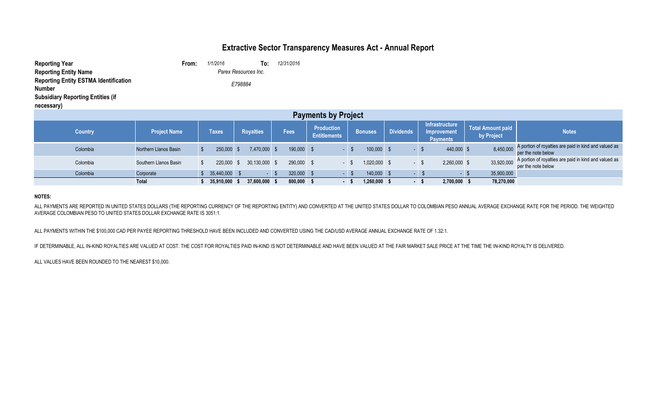# **Extractive Sector Transparency Measures Act - Annual Report**

| <b>Reporting Year</b>                        | From:                | 1/1/2016 | To: | 12/31/2016 |  |  |  |  |
|----------------------------------------------|----------------------|----------|-----|------------|--|--|--|--|
| <b>Reporting Entity Name</b>                 | Parex Resources Inc. |          |     |            |  |  |  |  |
| <b>Reporting Entity ESTMA Identification</b> |                      | E798884  |     |            |  |  |  |  |
| Number                                       |                      |          |     |            |  |  |  |  |
| <b>Subsidiary Reporting Entities (if</b>     |                      |          |     |            |  |  |  |  |
| necessary)                                   |                      |          |     |            |  |  |  |  |

| <b>Payments by Project</b> |                       |               |                  |            |                                          |                |                  |                                                         |                                        |                                                                             |  |  |  |
|----------------------------|-----------------------|---------------|------------------|------------|------------------------------------------|----------------|------------------|---------------------------------------------------------|----------------------------------------|-----------------------------------------------------------------------------|--|--|--|
| <b>Country</b>             | <b>Project Name</b>   | Taxes         | <b>Royalties</b> | Fees       | <b>Production</b><br><b>Entitlements</b> | <b>Bonuses</b> | <b>Dividends</b> | Infrastructure<br><b>Improvement</b><br><b>Payments</b> | <b>Total Amount paid</b><br>by Project | <b>Notes</b>                                                                |  |  |  |
| Colombia                   | Northern Llanos Basin | 250,000       | 7,470,000        | 190,000 \$ |                                          | 100,000        |                  | 440,000 \$                                              | 8,450,000                              | A portion of royalties are paid in kind and valued as<br>per the note below |  |  |  |
| Colombia                   | Southern Llanos Basin | 220,000       | 30.130.000       | 290,000 \$ |                                          | 1,020,000      | $\sim$           | 2,260,000 \$                                            | 33,920,000                             | A portion of royalties are paid in kind and valued as<br>per the note below |  |  |  |
| Colombia                   | Corporate             | 35,440,000 \$ |                  | 320,000 \$ |                                          | 140,000 \$     |                  | $\sim$                                                  | 35,900,000                             |                                                                             |  |  |  |
|                            | <b>Total</b>          | 35,910,000 \$ | 37,600,000 \$    | 800,000 \$ |                                          | 1,260,000      | . .              | 2,700,000 \$                                            | 78,270,000                             |                                                                             |  |  |  |

#### **NOTES:**

ALL PAYMENTS ARE REPORTED IN UNITED STATES DOLLARS (THE REPORTING CURRENCY OF THE REPORTING ENTITY) AND CONVERTED AT THE UNITED STATES DOLLAR TO COLOMBIAN PESO ANNUAL AVERAGE EXCHANGE RATE FOR THE PERIOD. THE WEIGHTED AVERAGE COLOMBIAN PESO TO UNITED STATES DOLLAR EXCHANGE RATE IS 3051:1.

ALL PAYMENTS WITHIN THE \$100,000 CAD PER PAYEE REPORTING THRESHOLD HAVE BEEN INCLUDED AND CONVERTED USING THE CAD/USD AVERAGE ANNUAL EXCHANGE RATE OF 1.32:1.

IF DETERMINABLE, ALL IN-KIND ROYALTIES ARE VALUED AT COST. THE COST FOR ROYALTIES PAID IN-KIND IS NOT DETERMINABLE AND HAVE BEEN VALUED AT THE FAIR MARKET SALE PRICE AT THE TIME THE IN-KIND ROYALTY IS DELIVERED.

ALL VALUES HAVE BEEN ROUNDED TO THE NEAREST \$10,000.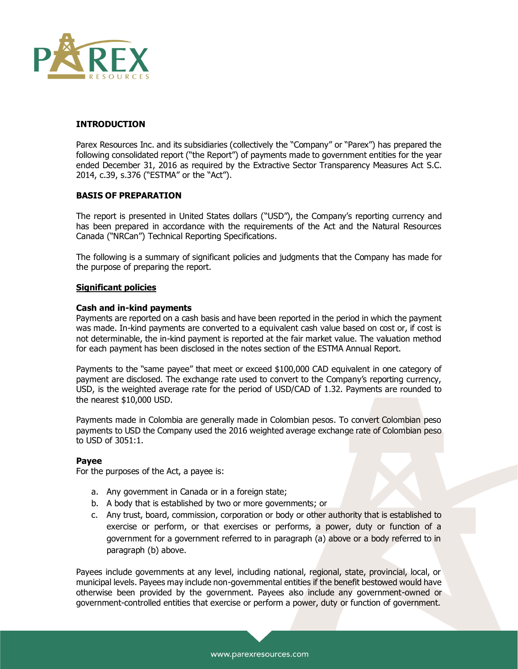

#### **INTRODUCTION**

Parex Resources Inc. and its subsidiaries (collectively the "Company" or "Parex") has prepared the following consolidated report ("the Report") of payments made to government entities for the year ended December 31, 2016 as required by the Extractive Sector Transparency Measures Act S.C. 2014, c.39, s.376 ("ESTMA" or the "Act").

#### **BASIS OF PREPARATION**

The report is presented in United States dollars ("USD"), the Company's reporting currency and has been prepared in accordance with the requirements of the Act and the Natural Resources Canada ("NRCan") Technical Reporting Specifications.

The following is a summary of significant policies and judgments that the Company has made for the purpose of preparing the report.

#### **Significant policies**

#### **Cash and in-kind payments**

Payments are reported on a cash basis and have been reported in the period in which the payment was made. In-kind payments are converted to a equivalent cash value based on cost or, if cost is not determinable, the in-kind payment is reported at the fair market value. The valuation method for each payment has been disclosed in the notes section of the ESTMA Annual Report.

Payments to the "same payee" that meet or exceed \$100,000 CAD equivalent in one category of payment are disclosed. The exchange rate used to convert to the Company's reporting currency, USD, is the weighted average rate for the period of USD/CAD of 1.32. Payments are rounded to the nearest \$10,000 USD.

Payments made in Colombia are generally made in Colombian pesos. To convert Colombian peso payments to USD the Company used the 2016 weighted average exchange rate of Colombian peso to USD of 3051:1.

#### **Payee**

For the purposes of the Act, a payee is:

- a. Any government in Canada or in a foreign state;
- b. A body that is established by two or more governments; or
- c. Any trust, board, commission, corporation or body or other authority that is established to exercise or perform, or that exercises or performs, a power, duty or function of a government for a government referred to in paragraph (a) above or a body referred to in paragraph (b) above.

Payees include governments at any level, including national, regional, state, provincial, local, or municipal levels. Payees may include non-governmental entities if the benefit bestowed would have otherwise been provided by the government. Payees also include any government-owned or government-controlled entities that exercise or perform a power, duty or function of government.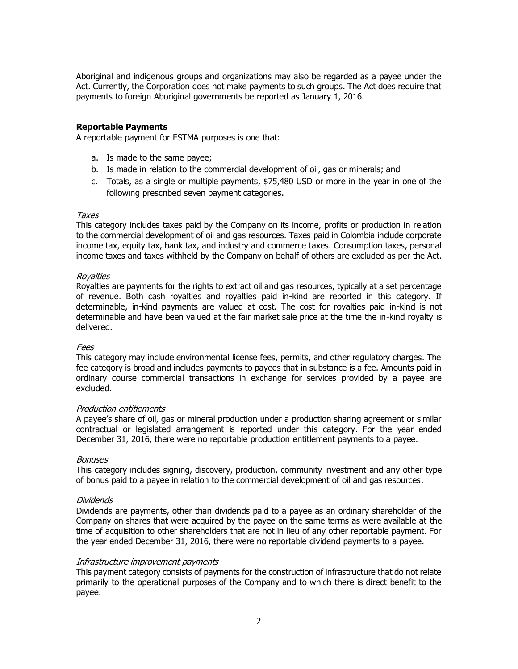Aboriginal and indigenous groups and organizations may also be regarded as a payee under the Act. Currently, the Corporation does not make payments to such groups. The Act does require that payments to foreign Aboriginal governments be reported as January 1, 2016.

#### **Reportable Payments**

A reportable payment for ESTMA purposes is one that:

- a. Is made to the same payee;
- b. Is made in relation to the commercial development of oil, gas or minerals; and
- c. Totals, as a single or multiple payments, \$75,480 USD or more in the year in one of the following prescribed seven payment categories.

#### Taxes

This category includes taxes paid by the Company on its income, profits or production in relation to the commercial development of oil and gas resources. Taxes paid in Colombia include corporate income tax, equity tax, bank tax, and industry and commerce taxes. Consumption taxes, personal income taxes and taxes withheld by the Company on behalf of others are excluded as per the Act.

#### Royalties

Royalties are payments for the rights to extract oil and gas resources, typically at a set percentage of revenue. Both cash royalties and royalties paid in-kind are reported in this category. If determinable, in-kind payments are valued at cost. The cost for royalties paid in-kind is not determinable and have been valued at the fair market sale price at the time the in-kind royalty is delivered.

#### Fees

This category may include environmental license fees, permits, and other regulatory charges. The fee category is broad and includes payments to payees that in substance is a fee. Amounts paid in ordinary course commercial transactions in exchange for services provided by a payee are excluded.

#### Production entitlements

A payee's share of oil, gas or mineral production under a production sharing agreement or similar contractual or legislated arrangement is reported under this category. For the year ended December 31, 2016, there were no reportable production entitlement payments to a payee.

#### **Bonuses**

This category includes signing, discovery, production, community investment and any other type of bonus paid to a payee in relation to the commercial development of oil and gas resources.

#### Dividends

Dividends are payments, other than dividends paid to a payee as an ordinary shareholder of the Company on shares that were acquired by the payee on the same terms as were available at the time of acquisition to other shareholders that are not in lieu of any other reportable payment. For the year ended December 31, 2016, there were no reportable dividend payments to a payee.

#### Infrastructure improvement payments

This payment category consists of payments for the construction of infrastructure that do not relate primarily to the operational purposes of the Company and to which there is direct benefit to the payee.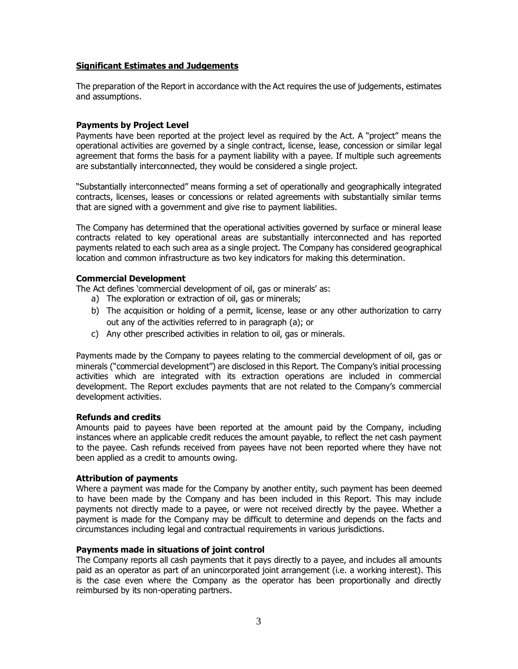### **Significant Estimates and Judgements**

The preparation of the Report in accordance with the Act requires the use of judgements, estimates and assumptions.

### **Payments by Project Level**

Payments have been reported at the project level as required by the Act. A "project" means the operational activities are governed by a single contract, license, lease, concession or similar legal agreement that forms the basis for a payment liability with a payee. If multiple such agreements are substantially interconnected, they would be considered a single project.

"Substantially interconnected" means forming a set of operationally and geographically integrated contracts, licenses, leases or concessions or related agreements with substantially similar terms that are signed with a government and give rise to payment liabilities.

The Company has determined that the operational activities governed by surface or mineral lease contracts related to key operational areas are substantially interconnected and has reported payments related to each such area as a single project. The Company has considered geographical location and common infrastructure as two key indicators for making this determination.

### **Commercial Development**

The Act defines 'commercial development of oil, gas or minerals' as:

- a) The exploration or extraction of oil, gas or minerals;
- b) The acquisition or holding of a permit, license, lease or any other authorization to carry out any of the activities referred to in paragraph (a); or
- c) Any other prescribed activities in relation to oil, gas or minerals.

Payments made by the Company to payees relating to the commercial development of oil, gas or minerals ("commercial development") are disclosed in this Report. The Company's initial processing activities which are integrated with its extraction operations are included in commercial development. The Report excludes payments that are not related to the Company's commercial development activities.

### **Refunds and credits**

Amounts paid to payees have been reported at the amount paid by the Company, including instances where an applicable credit reduces the amount payable, to reflect the net cash payment to the payee. Cash refunds received from payees have not been reported where they have not been applied as a credit to amounts owing.

### **Attribution of payments**

Where a payment was made for the Company by another entity, such payment has been deemed to have been made by the Company and has been included in this Report. This may include payments not directly made to a payee, or were not received directly by the payee. Whether a payment is made for the Company may be difficult to determine and depends on the facts and circumstances including legal and contractual requirements in various jurisdictions.

### **Payments made in situations of joint control**

The Company reports all cash payments that it pays directly to a payee, and includes all amounts paid as an operator as part of an unincorporated joint arrangement (i.e. a working interest). This is the case even where the Company as the operator has been proportionally and directly reimbursed by its non-operating partners.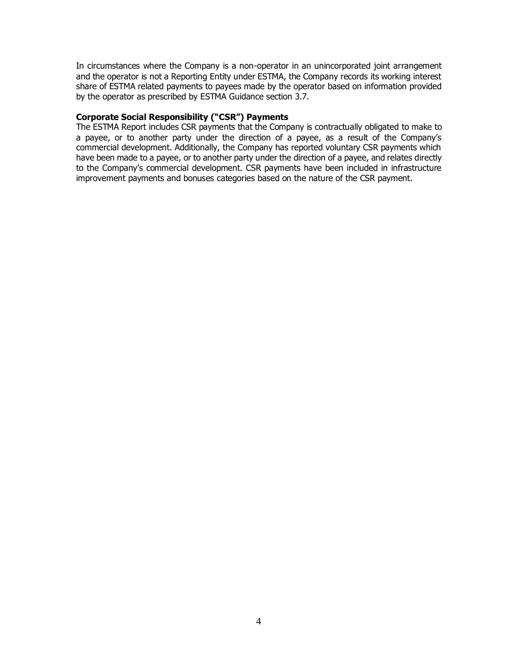In circumstances where the Company is a non-operator in an unincorporated joint arrangement and the operator is not a Reporting Entity under ESTMA, the Company records its working interest share of ESTMA related payments to payees made by the operator based on information provided by the operator as prescribed by ESTMA Guidance section 3.7.

#### **Corporate Social Responsibility ("CSR") Payments**

The ESTMA Report includes CSR payments that the Company is contractually obligated to make to a payee, or to another party under the direction of a payee, as a result of the Company's commercial development. Additionally, the Company has reported voluntary CSR payments which have been made to a payee, or to another party under the direction of a payee, and relates directly to the Company's commercial development. CSR payments have been included in infrastructure improvement payments and bonuses categories based on the nature of the CSR payment.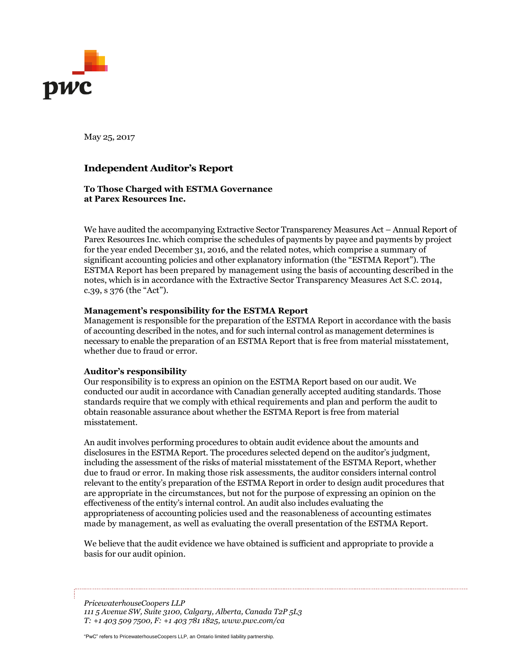

May 25, 2017

### **Independent Auditor's Report**

#### **To Those Charged with ESTMA Governance at Parex Resources Inc.**

We have audited the accompanying Extractive Sector Transparency Measures Act – Annual Report of Parex Resources Inc. which comprise the schedules of payments by payee and payments by project for the year ended December 31, 2016, and the related notes, which comprise a summary of significant accounting policies and other explanatory information (the "ESTMA Report"). The ESTMA Report has been prepared by management using the basis of accounting described in the notes, which is in accordance with the Extractive Sector Transparency Measures Act S.C. 2014, c.39, s 376 (the "Act").

#### **Management's responsibility for the ESTMA Report**

Management is responsible for the preparation of the ESTMA Report in accordance with the basis of accounting described in the notes, and for such internal control as management determines is necessary to enable the preparation of an ESTMA Report that is free from material misstatement, whether due to fraud or error.

#### **Auditor's responsibility**

Our responsibility is to express an opinion on the ESTMA Report based on our audit. We conducted our audit in accordance with Canadian generally accepted auditing standards. Those standards require that we comply with ethical requirements and plan and perform the audit to obtain reasonable assurance about whether the ESTMA Report is free from material misstatement.

An audit involves performing procedures to obtain audit evidence about the amounts and disclosures in the ESTMA Report. The procedures selected depend on the auditor's judgment, including the assessment of the risks of material misstatement of the ESTMA Report, whether due to fraud or error. In making those risk assessments, the auditor considers internal control relevant to the entity's preparation of the ESTMA Report in order to design audit procedures that are appropriate in the circumstances, but not for the purpose of expressing an opinion on the effectiveness of the entity's internal control. An audit also includes evaluating the appropriateness of accounting policies used and the reasonableness of accounting estimates made by management, as well as evaluating the overall presentation of the ESTMA Report.

We believe that the audit evidence we have obtained is sufficient and appropriate to provide a basis for our audit opinion.

*PricewaterhouseCoopers LLP 111 5 Avenue SW, Suite 3100, Calgary, Alberta, Canada T2P 5L3 T: +1 403 509 7500, F: +1 403 781 1825, www.pwc.com/ca*